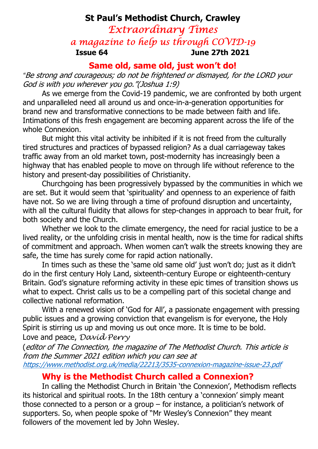# St Paul's Methodist Church, Crawley Extraordinary Times a magazine to help us through COVID-19 Issue 64 June 27th 2021

#### Same old, same old, just won't do!

"Be strong and courageous; do not be frightened or dismayed, for the LORD your God is with you wherever you go."(Joshua 1:9)

As we emerge from the Covid-19 pandemic, we are confronted by both urgent and unparalleled need all around us and once-in-a-generation opportunities for brand new and transformative connections to be made between faith and life. Intimations of this fresh engagement are becoming apparent across the life of the whole Connexion.

But might this vital activity be inhibited if it is not freed from the culturally tired structures and practices of bypassed religion? As a dual carriageway takes traffic away from an old market town, post-modernity has increasingly been a highway that has enabled people to move on through life without reference to the history and present-day possibilities of Christianity.

Churchgoing has been progressively bypassed by the communities in which we are set. But it would seem that 'spirituality' and openness to an experience of faith have not. So we are living through a time of profound disruption and uncertainty, with all the cultural fluidity that allows for step-changes in approach to bear fruit, for both society and the Church.

Whether we look to the climate emergency, the need for racial justice to be a lived reality, or the unfolding crisis in mental health, now is the time for radical shifts of commitment and approach. When women can't walk the streets knowing they are safe, the time has surely come for rapid action nationally.

In times such as these the 'same old same old' just won't do; just as it didn't do in the first century Holy Land, sixteenth-century Europe or eighteenth-century Britain. God's signature reforming activity in these epic times of transition shows us what to expect. Christ calls us to be a compelling part of this societal change and collective national reformation.

With a renewed vision of 'God for All', a passionate engagement with pressing public issues and a growing conviction that evangelism is for everyone, the Holy Spirit is stirring us up and moving us out once more. It is time to be bold. Love and peace, David Perry

(editor of The Connection, the magazine of The Methodist Church. This article is from the Summer 2021 edition which you can see at https://www.methodist.org.uk/media/22213/3535-connexion-magazine-issue-23.pdf

#### Why is the Methodist Church called a Connexion?

In calling the Methodist Church in Britain 'the Connexion', Methodism reflects its historical and spiritual roots. In the 18th century a 'connexion' simply meant those connected to a person or a group – for instance, a politician's network of supporters. So, when people spoke of "Mr Wesley's Connexion" they meant followers of the movement led by John Wesley.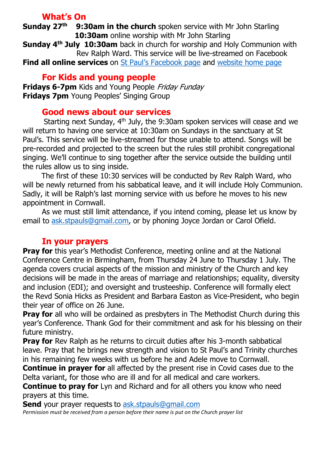## What's On

**Sunday 27<sup>th</sup>** 9:30am in the church spoken service with Mr John Starling 10:30am online worship with Mr John Starling

Sunday 4<sup>th</sup> July 10:30am back in church for worship and Holy Communion with Rev Ralph Ward. This service will be live-streamed on Facebook

**Find all online services** on St Paul's Facebook page and website home page

## For Kids and young people

Fridays 6-7pm Kids and Young People Friday Funday **Fridays 7pm** Young Peoples' Singing Group

## Good news about our services

Starting next Sunday, 4<sup>th</sup> July, the 9:30am spoken services will cease and we will return to having one service at 10:30am on Sundays in the sanctuary at St Paul's. This service will be live-streamed for those unable to attend. Songs will be pre-recorded and projected to the screen but the rules still prohibit congregational singing. We'll continue to sing together after the service outside the building until the rules allow us to sing inside.

 The first of these 10:30 services will be conducted by Rev Ralph Ward, who will be newly returned from his sabbatical leave, and it will include Holy Communion. Sadly, it will be Ralph's last morning service with us before he moves to his new appointment in Cornwall.

 As we must still limit attendance, if you intend coming, please let us know by email to ask.stpauls@gmail.com, or by phoning Joyce Jordan or Carol Ofield.

## In your prayers

**Pray for** this year's Methodist Conference, meeting online and at the National Conference Centre in Birmingham, from Thursday 24 June to Thursday 1 July. The agenda covers crucial aspects of the mission and ministry of the Church and key decisions will be made in the areas of marriage and relationships; equality, diversity and inclusion (EDI); and oversight and trusteeship. Conference will formally elect the Revd Sonia Hicks as President and Barbara Easton as Vice-President, who begin their year of office on 26 June.

**Pray for** all who will be ordained as presbyters in The Methodist Church during this year's Conference. Thank God for their commitment and ask for his blessing on their future ministry.

**Pray for** Rev Ralph as he returns to circuit duties after his 3-month sabbatical leave. Pray that he brings new strength and vision to St Paul's and Trinity churches in his remaining few weeks with us before he and Adele move to Cornwall.

**Continue in prayer for** all affected by the present rise in Covid cases due to the Delta variant, for those who are ill and for all medical and care workers.

**Continue to pray for** Lyn and Richard and for all others you know who need prayers at this time.

Send your prayer requests to ask.stpauls@gmail.com Permission must be received from a person before their name is put on the Church prayer list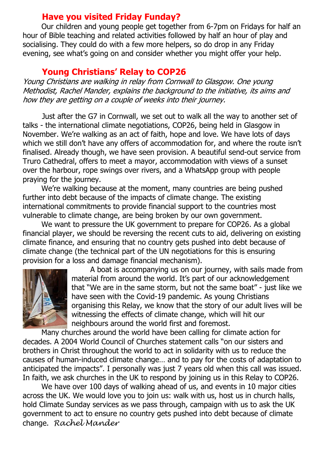## Have you visited Friday Funday?

 Our children and young people get together from 6-7pm on Fridays for half an hour of Bible teaching and related activities followed by half an hour of play and socialising. They could do with a few more helpers, so do drop in any Friday evening, see what's going on and consider whether you might offer your help.

#### Young Christians' Relay to COP26

Young Christians are walking in relay from Cornwall to Glasgow. One young Methodist, Rachel Mander, explains the background to the initiative, its aims and how they are getting on a couple of weeks into their journey.

Just after the G7 in Cornwall, we set out to walk all the way to another set of talks - the international climate negotiations, COP26, being held in Glasgow in November. We're walking as an act of faith, hope and love. We have lots of days which we still don't have any offers of accommodation for, and where the route isn't finalised. Already though, we have seen provision. A beautiful send-out service from Truro Cathedral, offers to meet a mayor, accommodation with views of a sunset over the harbour, rope swings over rivers, and a WhatsApp group with people praying for the journey.

 We're walking because at the moment, many countries are being pushed further into debt because of the impacts of climate change. The existing international commitments to provide financial support to the countries most vulnerable to climate change, are being broken by our own government.

 We want to pressure the UK government to prepare for COP26. As a global financial player, we should be reversing the recent cuts to aid, delivering on existing climate finance, and ensuring that no country gets pushed into debt because of climate change (the technical part of the UN negotiations for this is ensuring provision for a loss and damage financial mechanism).



 A boat is accompanying us on our journey, with sails made from material from around the world. It's part of our acknowledgement that "We are in the same storm, but not the same boat" - just like we have seen with the Covid-19 pandemic. As young Christians organising this Relay, we know that the story of our adult lives will be witnessing the effects of climate change, which will hit our neighbours around the world first and foremost.

 Many churches around the world have been calling for climate action for decades. A 2004 World Council of Churches statement calls "on our sisters and brothers in Christ throughout the world to act in solidarity with us to reduce the causes of human-induced climate change… and to pay for the costs of adaptation to anticipated the impacts". I personally was just 7 years old when this call was issued. In faith, we ask churches in the UK to respond by joining us in this Relay to COP26.

 We have over 100 days of walking ahead of us, and events in 10 major cities across the UK. We would love you to join us: walk with us, host us in church halls, hold Climate Sunday services as we pass through, campaign with us to ask the UK government to act to ensure no country gets pushed into debt because of climate change. Rachel Mander